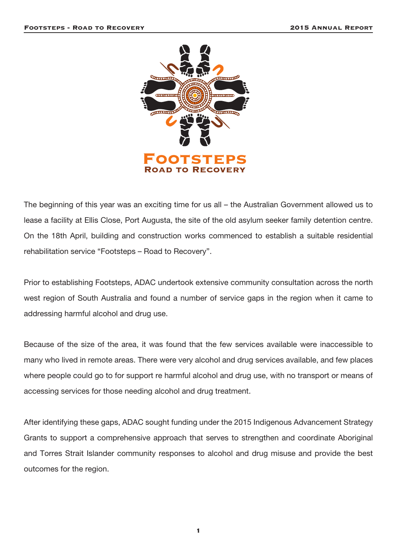

The beginning of this year was an exciting time for us all – the Australian Government allowed us to lease a facility at Ellis Close, Port Augusta, the site of the old asylum seeker family detention centre. On the 18th April, building and construction works commenced to establish a suitable residential rehabilitation service "Footsteps – Road to Recovery".

Prior to establishing Footsteps, ADAC undertook extensive community consultation across the north west region of South Australia and found a number of service gaps in the region when it came to addressing harmful alcohol and drug use.

Because of the size of the area, it was found that the few services available were inaccessible to many who lived in remote areas. There were very alcohol and drug services available, and few places where people could go to for support re harmful alcohol and drug use, with no transport or means of accessing services for those needing alcohol and drug treatment.

After identifying these gaps, ADAC sought funding under the 2015 Indigenous Advancement Strategy Grants to support a comprehensive approach that serves to strengthen and coordinate Aboriginal and Torres Strait Islander community responses to alcohol and drug misuse and provide the best outcomes for the region.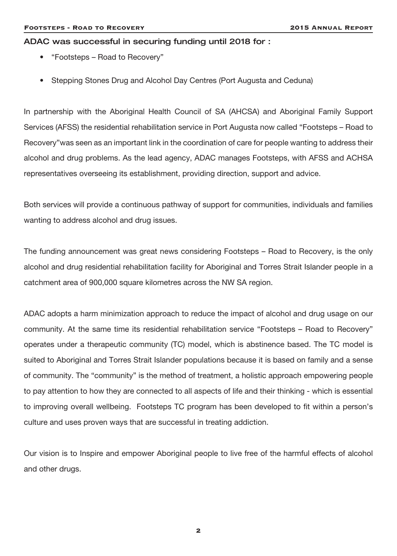#### ADAC was successful in securing funding until 2018 for :

- "Footsteps Road to Recovery"
- Stepping Stones Drug and Alcohol Day Centres (Port Augusta and Ceduna)

In partnership with the Aboriginal Health Council of SA (AHCSA) and Aboriginal Family Support Services (AFSS) the residential rehabilitation service in Port Augusta now called "Footsteps – Road to Recovery"was seen as an important link in the coordination of care for people wanting to address their alcohol and drug problems. As the lead agency, ADAC manages Footsteps, with AFSS and ACHSA representatives overseeing its establishment, providing direction, support and advice.

Both services will provide a continuous pathway of support for communities, individuals and families wanting to address alcohol and drug issues.

The funding announcement was great news considering Footsteps – Road to Recovery, is the only alcohol and drug residential rehabilitation facility for Aboriginal and Torres Strait Islander people in a catchment area of 900,000 square kilometres across the NW SA region.

ADAC adopts a harm minimization approach to reduce the impact of alcohol and drug usage on our community. At the same time its residential rehabilitation service "Footsteps – Road to Recovery" operates under a therapeutic community (TC) model, which is abstinence based. The TC model is suited to Aboriginal and Torres Strait Islander populations because it is based on family and a sense of community. The "community" is the method of treatment, a holistic approach empowering people to pay attention to how they are connected to all aspects of life and their thinking - which is essential to improving overall wellbeing. Footsteps TC program has been developed to fit within a person's culture and uses proven ways that are successful in treating addiction.

Our vision is to Inspire and empower Aboriginal people to live free of the harmful effects of alcohol and other drugs.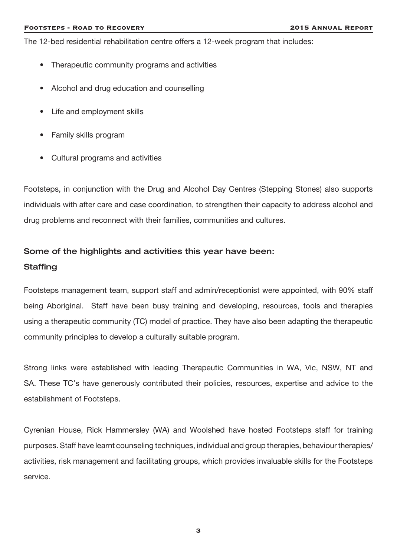The 12-bed residential rehabilitation centre offers a 12-week program that includes:

- Therapeutic community programs and activities
- Alcohol and drug education and counselling
- Life and employment skills
- Family skills program
- Cultural programs and activities

Footsteps, in conjunction with the Drug and Alcohol Day Centres (Stepping Stones) also supports individuals with after care and case coordination, to strengthen their capacity to address alcohol and drug problems and reconnect with their families, communities and cultures.

# Some of the highlights and activities this year have been: **Staffing**

Footsteps management team, support staff and admin/receptionist were appointed, with 90% staff being Aboriginal. Staff have been busy training and developing, resources, tools and therapies using a therapeutic community (TC) model of practice. They have also been adapting the therapeutic community principles to develop a culturally suitable program.

Strong links were established with leading Therapeutic Communities in WA, Vic, NSW, NT and SA. These TC's have generously contributed their policies, resources, expertise and advice to the establishment of Footsteps.

Cyrenian House, Rick Hammersley (WA) and Woolshed have hosted Footsteps staff for training purposes. Staff have learnt counseling techniques, individual and group therapies, behaviour therapies/ activities, risk management and facilitating groups, which provides invaluable skills for the Footsteps service.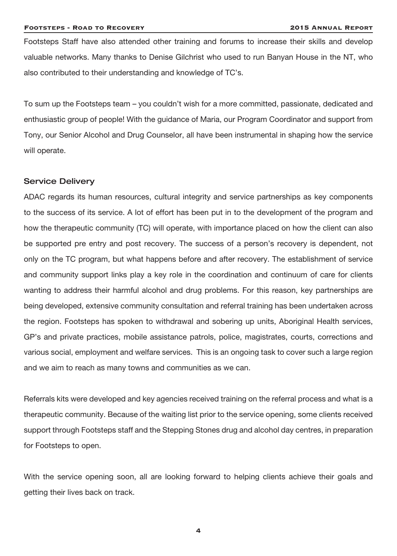Footsteps Staff have also attended other training and forums to increase their skills and develop valuable networks. Many thanks to Denise Gilchrist who used to run Banyan House in the NT, who also contributed to their understanding and knowledge of TC's.

To sum up the Footsteps team – you couldn't wish for a more committed, passionate, dedicated and enthusiastic group of people! With the guidance of Maria, our Program Coordinator and support from Tony, our Senior Alcohol and Drug Counselor, all have been instrumental in shaping how the service will operate.

# Service Delivery

ADAC regards its human resources, cultural integrity and service partnerships as key components to the success of its service. A lot of effort has been put in to the development of the program and how the therapeutic community (TC) will operate, with importance placed on how the client can also be supported pre entry and post recovery. The success of a person's recovery is dependent, not only on the TC program, but what happens before and after recovery. The establishment of service and community support links play a key role in the coordination and continuum of care for clients wanting to address their harmful alcohol and drug problems. For this reason, key partnerships are being developed, extensive community consultation and referral training has been undertaken across the region. Footsteps has spoken to withdrawal and sobering up units, Aboriginal Health services, GP's and private practices, mobile assistance patrols, police, magistrates, courts, corrections and various social, employment and welfare services. This is an ongoing task to cover such a large region and we aim to reach as many towns and communities as we can.

Referrals kits were developed and key agencies received training on the referral process and what is a therapeutic community. Because of the waiting list prior to the service opening, some clients received support through Footsteps staff and the Stepping Stones drug and alcohol day centres, in preparation for Footsteps to open.

With the service opening soon, all are looking forward to helping clients achieve their goals and getting their lives back on track.

4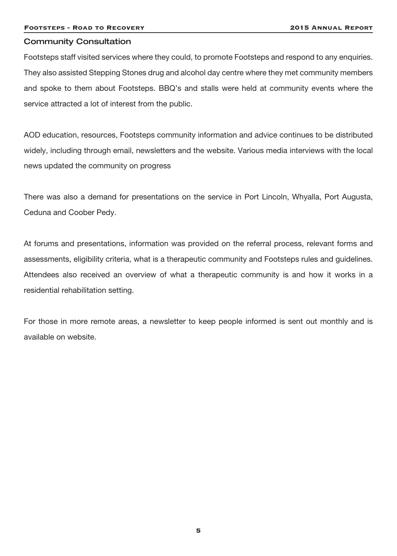# Community Consultation

Footsteps staff visited services where they could, to promote Footsteps and respond to any enquiries. They also assisted Stepping Stones drug and alcohol day centre where they met community members and spoke to them about Footsteps. BBQ's and stalls were held at community events where the service attracted a lot of interest from the public.

AOD education, resources, Footsteps community information and advice continues to be distributed widely, including through email, newsletters and the website. Various media interviews with the local news updated the community on progress

There was also a demand for presentations on the service in Port Lincoln, Whyalla, Port Augusta, Ceduna and Coober Pedy.

At forums and presentations, information was provided on the referral process, relevant forms and assessments, eligibility criteria, what is a therapeutic community and Footsteps rules and guidelines. Attendees also received an overview of what a therapeutic community is and how it works in a residential rehabilitation setting.

For those in more remote areas, a newsletter to keep people informed is sent out monthly and is available on website.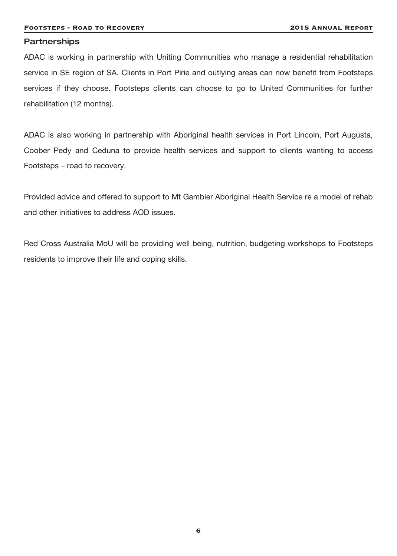#### **Partnerships**

ADAC is working in partnership with Uniting Communities who manage a residential rehabilitation service in SE region of SA. Clients in Port Pirie and outlying areas can now benefit from Footsteps services if they choose. Footsteps clients can choose to go to United Communities for further rehabilitation (12 months).

ADAC is also working in partnership with Aboriginal health services in Port Lincoln, Port Augusta, Coober Pedy and Ceduna to provide health services and support to clients wanting to access Footsteps – road to recovery.

Provided advice and offered to support to Mt Gambier Aboriginal Health Service re a model of rehab and other initiatives to address AOD issues.

Red Cross Australia MoU will be providing well being, nutrition, budgeting workshops to Footsteps residents to improve their life and coping skills.